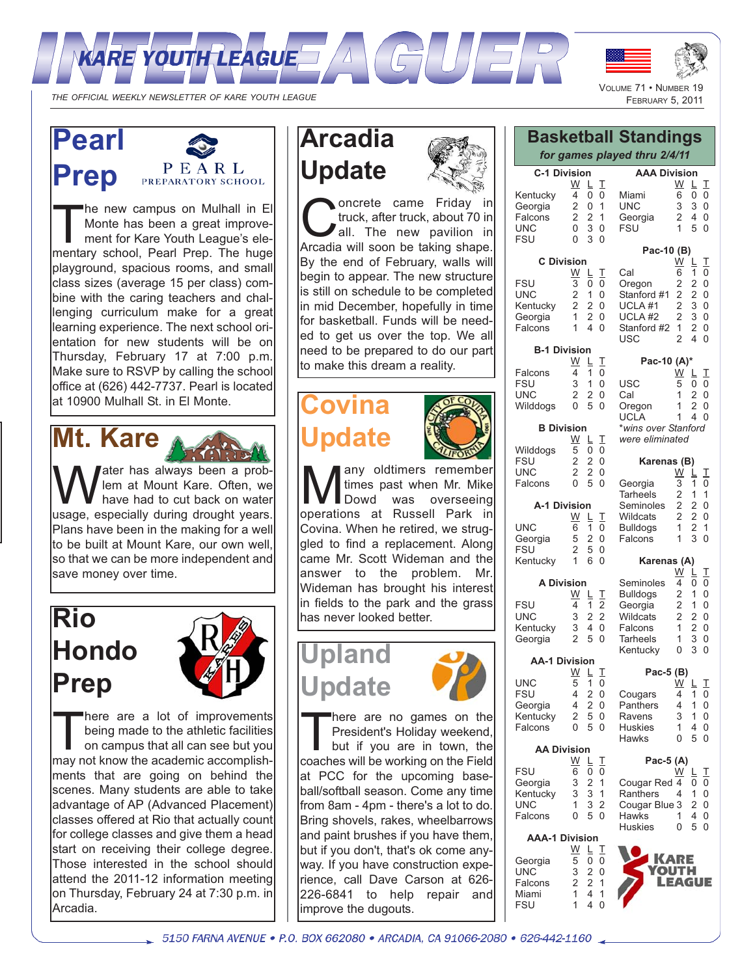



**AAA Division**

Georgia 2 4 0

**Pac-10 (B)**

Cal 6 1 0 Oregon 2 2 0<br>Stanford #1 2 2 0 Stanford #1 2 2 0<br>UCI A #1 2 3 0 UCLA #1 2 3 0<br>UCLA #2 2 3 0 UCLA #2 2 3 0<br>Stanford #2 1 2 0 Stanford #2 1<br>USC 2

**Pac-10 (A)\***

*\*wins over Stanford were eliminated*

**Karenas (B)**

Georgia 3 1 0<br>Tarheels 2 1 1 Tarheels 2 1 1<br>Seminoles 2 2 0 Seminoles 2 2 0<br>Wildcats 2 2 0 Wildcats 2 2 0<br>Bulldogs 1 2 1 Bulldogs 1 2<br>Falcons 1 3 Falcons 1 3 0 **Karenas (A)**

Seminoles  $\overline{4}$   $\overline{0}$   $\overline{0}$ <br>Bulldogs 2 1 0 Bulldogs 2 1 0<br>Georgia 2 1 0 Georgia 2 1 0<br>Wildcats 2 2 0 Wildcats 2 2 0<br>Falcons 1 2 0 Falcons 1 2 0<br>Tarheels 1 3 0 Tarheels 1 3 0<br>Kentucky 0 3 0

**Pac-5 (B)**

Cougars 4 1 0<br>Panthers 4 1 0 Panthers 4 1 0<br>Ravens 3 1 0

Huskies 140<br>Hawks 050

**Pac-5 (A)**

Cougar Red 4 0 0<br>Ranthers 4 1 0 Ranthers 4 1 0<br>Cougar Blue 3 2 0 Cougar Blue 3

Kentucky

**Ravens** 

**Hawks** 

Miami<br>UNC

**Basketball Standings** *for games played thru 2/4/11*

 $FSU$ 

USC<br>Cal

Oregon 1<br>UCLA 1

 $\frac{W}{6}$   $\frac{L}{0}$   $\frac{T}{0}$ 

 $\begin{array}{ccc} 3 & 3 & 0 \\ 2 & 4 & 0 \end{array}$ 

<u>W L T</u>

4 0

 $\frac{W}{5}$   $\frac{L}{0}$   $\frac{T}{0}$ 

 $\begin{array}{cc} 1 & 2 & 0 \\ 1 & 2 & 0 \end{array}$ 

 $1 \t4 \t0$ 

 $\frac{\text{W}}{3}$   $\frac{\text{L}}{1}$   $\frac{\text{T}}{0}$ 

 $\frac{\overrightarrow{W}}{4}$   $\frac{\overrightarrow{L}}{0}$   $\frac{\overrightarrow{T}}{0}$ 

 $\begin{array}{c} \underline{\mathsf{L}} & \underline{\mathsf{T}} \\ 1 & 0 \end{array}$ 

 $W$  L T

 $1 \t 4 \t 0$  $0<sub>5</sub>$  0

THE OFFICIAL WEEKLY NEWSLETTER OF KARE YOUTH LEAGUE

# **Pearl Prep**



The new campus on Mulhall in El Monte has been a great improvement for Kare Youth League's elementary school, Pearl Prep. The huge playground, spacious rooms, and small class sizes (average 15 per class) combine with the caring teachers and challenging curriculum make for a great learning experience. The next school orientation for new students will be on Thursday, February 17 at 7:00 p.m. Make sure to RSVP by calling the school office at (626) 442-7737. Pearl is located at 10900 Mulhall St. in El Monte.

# **Mt. Kare**

**W** ater has always been a prob-<br>
lem at Mount Kare. Often, we<br>
usage especially during drought vears lem at Mount Kare. Often, we usage, especially during drought years. Plans have been in the making for a well to be built at Mount Kare, our own well, so that we can be more independent and save money over time.

# **Rio Hondo Prep**



There are a lot of improvements<br>being made to the athletic facilities<br>on campus that all can see but you<br>may not know the academic accomplishbeing made to the athletic facilities may not know the academic accomplishments that are going on behind the scenes. Many students are able to take advantage of AP (Advanced Placement) classes offered at Rio that actually count for college classes and give them a head start on receiving their college degree. Those interested in the school should attend the 2011-12 information meeting on Thursday, February 24 at 7:30 p.m. in Arcadia.

### **Arcadia Update**

oncrete came Friday in truck, after truck, about 70 in all. The new pavilion in Arcadia will soon be taking shape. By the end of February, walls will begin to appear. The new structure



## **Covina pdate**



any oldtimers remember<br>times past when Mr. Mike<br>Dowd was overseeing times past when Mr. Mike was overseeing operations at Russell Park in Covina. When he retired, we struggled to find a replacement. Along came Mr. Scott Wideman and the answer to the problem. Mr. Wideman has brought his interest in fields to the park and the grass has never looked better.





There are no games on the<br>
President's Holiday weekend,<br>
but if you are in town, the<br>
coaches will be working on the Field President's Holiday weekend, coaches will be working on the Field at PCC for the upcoming baseball/softball season. Come any time from 8am - 4pm - there's a lot to do. Bring shovels, rakes, wheelbarrows and paint brushes if you have them, but if you don't, that's ok come anyway. If you have construction experience, call Dave Carson at 626- 226-6841 to help repair and improve the dugouts.

 $\frac{W}{4}$   $\frac{L}{0}$   $\frac{T}{0}$ Kentucky  $\overline{4}$   $\overline{0}$   $\overline{0}$ <br>Georgia 2 0 1 Georgia 2 0 1<br>Falcons 2 2 1 Falcons 2 2 1 UNC FSU 0 3 0 **C Division** <u>W L T</u> FSU 3 0 0 UNC 2 1 0<br>Kentucky 2 2 0 Kentucky 2 2 0<br>Georgia 1 2 0 Georgia 1 2 0<br>Falcons 1 4 0 Falcons 1

**C-1 Division**

| <b>B-1 Division</b> |   |   |    |
|---------------------|---|---|----|
|                     |   | L | J. |
| Falcons             | 4 | 1 | ი  |
| FSU                 | 3 | 1 | Ω  |
| UNC                 | 2 | 2 | ი  |
| Wilddogs            | Ω | 5 | O  |
|                     |   |   |    |

| <b>B</b> Division |   |     |              |  |
|-------------------|---|-----|--------------|--|
|                   | W | L   | $\mathbf{I}$ |  |
| Wilddogs          | 5 | 0   | $\Omega$     |  |
| <b>FSU</b>        | 2 | 2   | $\Omega$     |  |
| UNC               | 2 | 2   | $\Omega$     |  |
| Falcons           | U | 5 0 |              |  |
|                   |   |     |              |  |

 $\frac{1}{0}$ 

 $rac{1}{2}$ 

#### **A-1 Division** <u>W L T</u> UNC 6 1 0 Georgia 5 2 0<br>FSU 2 5 0  $\begin{array}{ccc} 2 & 5 & 0 \\ 1 & 6 & 0 \end{array}$ **Kentucky**

| <b>A Division</b> |   |    |          |  |
|-------------------|---|----|----------|--|
|                   | W | L. | л.       |  |
| FSU               | 4 | 1  | 2        |  |
| UNC               | 3 | 22 |          |  |
| Kentucky          | 3 | 4  | 0        |  |
| Georgia           | 2 | 5  | $\Omega$ |  |

### **AA-1 Division**

| UNC      | 5 | 1 | ი |
|----------|---|---|---|
| FSU      | 4 | 2 | ი |
| Georgia  | 4 | 2 | N |
| Kentucky | 2 | 5 | ი |
| Falcons  | O | 5 | N |

| <b>AA Division</b> |   |   |    |  |
|--------------------|---|---|----|--|
|                    | W | L | Ι. |  |
| <b>FSU</b>         | 6 | 0 | 0  |  |
| Georgia            | 3 | 2 | 1  |  |
| Kentucky           | 3 | 3 | 1  |  |
| <b>UNC</b>         | 1 | 3 | 2  |  |
| Falcons            | 0 | 5 | O  |  |

| <b>Falcons</b>        | U | 50       |          | <b>HAWKS</b>   |        |                | 40 |
|-----------------------|---|----------|----------|----------------|--------|----------------|----|
|                       |   |          |          | <b>Huskies</b> | 0      | 5 <sub>0</sub> |    |
| <b>AAA-1 Division</b> |   |          |          |                |        |                |    |
|                       | W |          |          |                |        |                |    |
| Georgia               | 5 | $\Omega$ | $\Omega$ |                | ARE    |                |    |
| <b>UNC</b>            | 3 | 2 0      |          |                | OUTH   |                |    |
| Falcons               |   | 2 2 1    |          |                | LEAGUE |                |    |
| Miami                 |   | 4        |          |                |        |                |    |
| <b>FSU</b>            |   |          |          |                |        |                |    |

\_5150 FARNA AVENUE • P.O. BOX 662080 • ARCADIA, CA 91066-2080 • 626-442-1160 \_